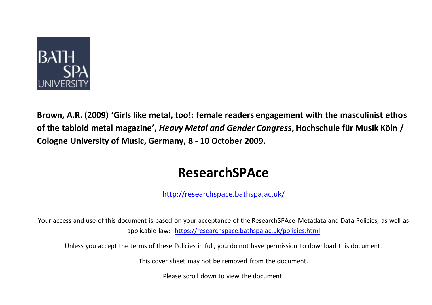

**Brown, A.R. (2009) 'Girls like metal, too!: female readers engagement with the masculinist ethos of the tabloid metal magazine' ,** *Heavy Metal and Gender Congress***, Hochschule für Musik Köln / Cologne University of Music, Germany, 8 - 10 October 2009.**

### **ResearchSPAce**

<http://researchspace.bathspa.ac.uk/>

Your access and use of this document is based on your acceptance of the ResearchSPAce Metadata and Data Policies, as well as applicable law:- https://researchspace.bathspa.ac.uk/policies.html

Unless you accept the terms of these Policies in full, you do not have permission to download this document.

This cover sheet may not be removed from the document.

Please scroll down to view the document.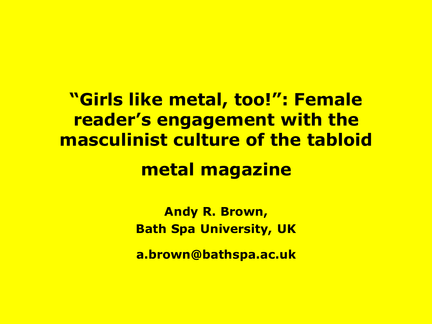**"Girls like metal, too!": Female reader's engagement with the masculinist culture of the tabloid metal magazine**

> **Andy R. Brown, Bath Spa University, UK**

> **a.brown@bathspa.ac.uk**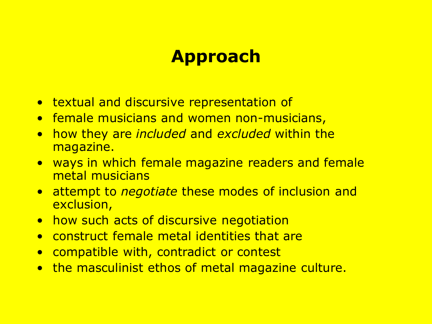### **Approach**

- textual and discursive representation of
- female musicians and women non-musicians,
- how they are *included* and *excluded* within the magazine.
- ways in which female magazine readers and female metal musicians
- attempt to *negotiate* these modes of inclusion and exclusion,
- how such acts of discursive negotiation
- construct female metal identities that are
- compatible with, contradict or contest
- the masculinist ethos of metal magazine culture.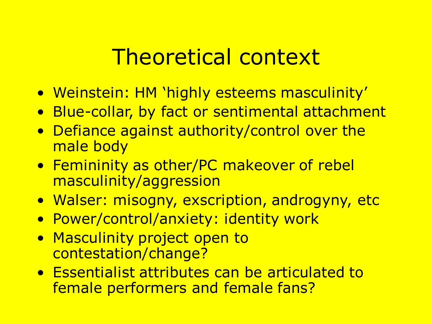### Theoretical context

- Weinstein: HM 'highly esteems masculinity'
- Blue-collar, by fact or sentimental attachment
- Defiance against authority/control over the male body
- Femininity as other/PC makeover of rebel masculinity/aggression
- Walser: misogny, exscription, androgyny, etc
- Power/control/anxiety: identity work
- Masculinity project open to contestation/change?
- Essentialist attributes can be articulated to female performers and female fans?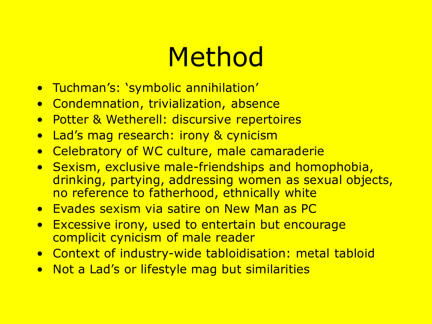# Method

- Tuchman's: 'symbolic annihilation'
- Condemnation, trivialization, absence
- Potter & Wetherell: discursive repertoires
- Lad's mag research: irony & cynicism
- Celebratory of WC culture, male camaraderie
- Sexism, exclusive male-friendships and homophobia, drinking, partying, addressing women as sexual objects, no reference to fatherhood, ethnically white
- Evades sexism via satire on New Man as PC
- Excessive irony, used to entertain but encourage complicit cynicism of male reader
- Context of industry-wide tabloidisation: metal tabloid
- Not a Lad's or lifestyle mag but similarities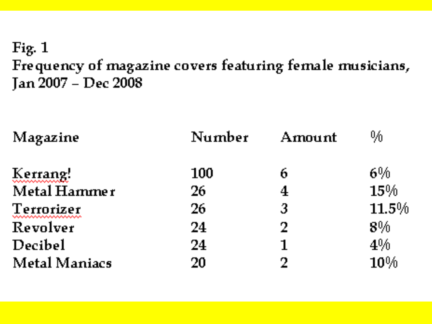#### Fig.  $1$ Frequency of magazine covers featuring female musicians, Jan 2007 - Dec 2008

| Magazine                                 | Number | Amount         | $0_{\rm \prime 0}$ |
|------------------------------------------|--------|----------------|--------------------|
| Kerrang!                                 | 100    | 6              | $6\%$              |
| Metal Hammer                             | 26     | 4              | 15%                |
| Terrorizer<br>いんきょうきょうきょうきょうきょうきょうきょうきょう | 26     | $\mathfrak{Z}$ | 11.5%              |
| Revolver                                 | 24     | $\overline{2}$ | $8\%$              |
| Decibel                                  | 24     | ┪              | $4\%$              |
| <b>Metal Maniacs</b>                     | 20     | ŋ              | 10%                |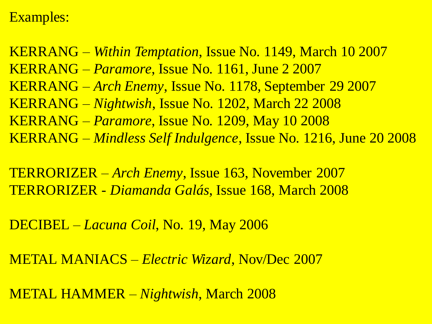#### Examples:

KERRANG – *Within Temptation*, Issue No. 1149, March 10 2007 KERRANG – *Paramore*, Issue No. 1161, June 2 2007 KERRANG – *Arch Enemy*, Issue No. 1178, September 29 2007 KERRANG – *Nightwish*, Issue No. 1202, March 22 2008 KERRANG – *Paramore*, Issue No. 1209, May 10 2008 KERRANG – *Mindless Self Indulgence*, Issue No. 1216, June 20 2008

TERRORIZER – *Arch Enemy*, Issue 163, November 2007 TERRORIZER - *Diamanda Galás*, Issue 168, March 2008

DECIBEL – *Lacuna Coil*, No. 19, May 2006

METAL MANIACS – *Electric Wizard*, Nov/Dec 2007

METAL HAMMER – *Nightwish*, March 2008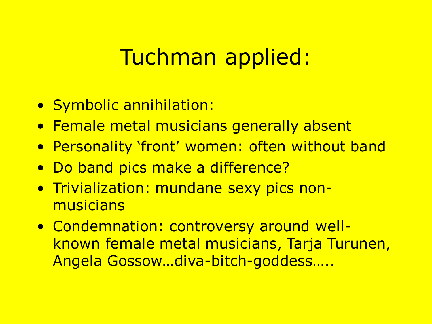## Tuchman applied:

- Symbolic annihilation:
- Female metal musicians generally absent
- Personality 'front' women: often without band
- Do band pics make a difference?
- Trivialization: mundane sexy pics nonmusicians
- Condemnation: controversy around wellknown female metal musicians, Tarja Turunen, Angela Gossow…diva-bitch-goddess…..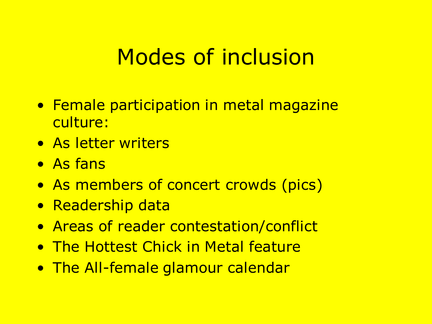## Modes of inclusion

- Female participation in metal magazine culture:
- As letter writers
- As fans
- As members of concert crowds (pics)
- Readership data
- Areas of reader contestation/conflict
- The Hottest Chick in Metal feature
- The All-female glamour calendar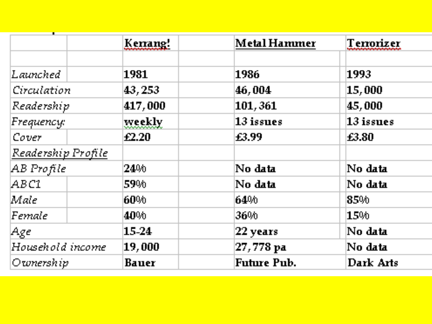|                        | Kenang!             | Metal Hammer         | Temorizer    |
|------------------------|---------------------|----------------------|--------------|
|                        |                     |                      |              |
| $\emph{Launched}$ .    | 1981                | 1986                 | 1993.        |
| Circulation            | 43, 253             | 46,004               | 15,000       |
| Readership             | 417,000             | 101,361              | 45,000       |
| $F$ requenc $\varphi$  | weekly              | $13$ issues          | $13$ issues. |
| Cover                  | $\pmb{\pounds}2.20$ | E3.99                | £3.80        |
| Readership Profile     |                     |                      |              |
| AB Profile             | 24%                 | No data              | No data      |
| ABCI                   | 59%                 | No data              | No data      |
| Male                   | 60%                 | 64%                  | 85%          |
| Female                 | 40%                 | 36%                  | 15%          |
| Age                    | 15-24               | $ 22$ years          | No data      |
| Household income       | 19,000              | $ 27,778\;{\rm pa} $ | No data      |
| $ O$ wnersh $i$ p $\,$ | <b>Bauer</b>        | <b>Future Pub.</b>   | Dark Arts    |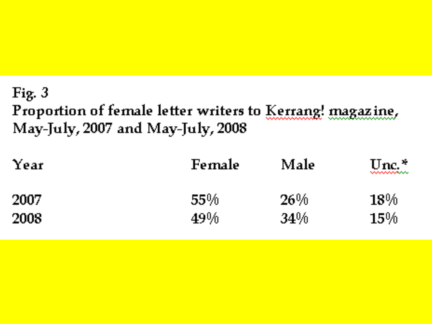### Fig.  $3$ Proportion of female letter writers to Kerrang! magazine, May-July, 2007 and May-July, 2008

| Year | <b>Female</b> | Male | Unc. $*$<br><b><i><u>NANA MARANA MARA</u></i></b> |
|------|---------------|------|---------------------------------------------------|
| 2007 | <b>55%</b>    | 26%  | 18%                                               |
| 2008 | $49\%$        | 34%  | $15\%$                                            |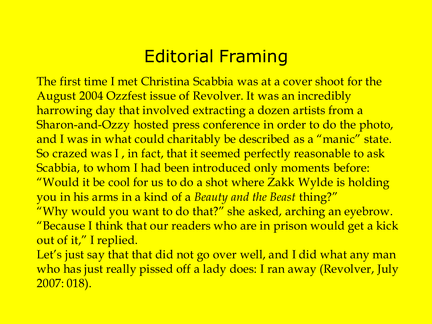### Editorial Framing

The first time I met Christina Scabbia was at a cover shoot for the August 2004 Ozzfest issue of Revolver. It was an incredibly harrowing day that involved extracting a dozen artists from a Sharon-and-Ozzy hosted press conference in order to do the photo, and I was in what could charitably be described as a "manic" state. So crazed was I , in fact, that it seemed perfectly reasonable to ask Scabbia, to whom I had been introduced only moments before: "Would it be cool for us to do a shot where Zakk Wylde is holding you in his arms in a kind of a *Beauty and the Beast* thing?" "Why would you want to do that?" she asked, arching an eyebrow. "Because I think that our readers who are in prison would get a kick out of it," I replied.

Let's just say that that did not go over well, and I did what any man who has just really pissed off a lady does: I ran away (Revolver, July 2007: 018).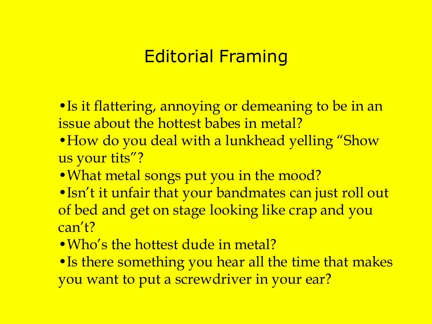### Editorial Framing

- •Is it flattering, annoying or demeaning to be in an issue about the hottest babes in metal?
- How do you deal with a lunkhead yelling "Show us your tits"?
- What metal songs put you in the mood?
- •Isn't it unfair that your bandmates can just roll out of bed and get on stage looking like crap and you can't?
- •Who's the hottest dude in metal?
- Is there something you hear all the time that makes you want to put a screwdriver in your ear?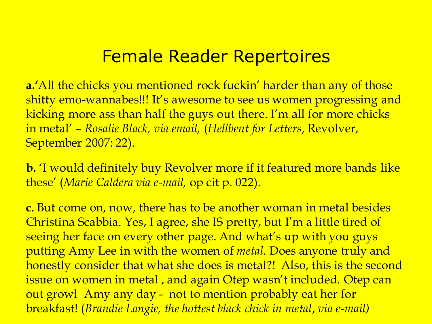### Female Reader Repertoires

**a.'**All the chicks you mentioned rock fuckin' harder than any of those shitty emo-wannabes!!! It's awesome to see us women progressing and kicking more ass than half the guys out there. I'm all for more chicks in metal' *– Rosalie Black, via email,* (*Hellbent for Letters*, Revolver, September 2007: 22).

**b.** 'I would definitely buy Revolver more if it featured more bands like these' (*Marie Caldera via e-mail,* op cit p. 022).

**c.** But come on, now, there has to be another woman in metal besides Christina Scabbia. Yes, I agree, she IS pretty, but I'm a little tired of seeing her face on every other page. And what's up with you guys putting Amy Lee in with the women of *metal*. Does anyone truly and honestly consider that what she does is metal?! Also, this is the second issue on women in metal , and again Otep wasn't included. Otep can out growl Amy any day - not to mention probably eat her for breakfast! (*Brandie Langie, the hottest black chick in metal*, *via e-mail)*